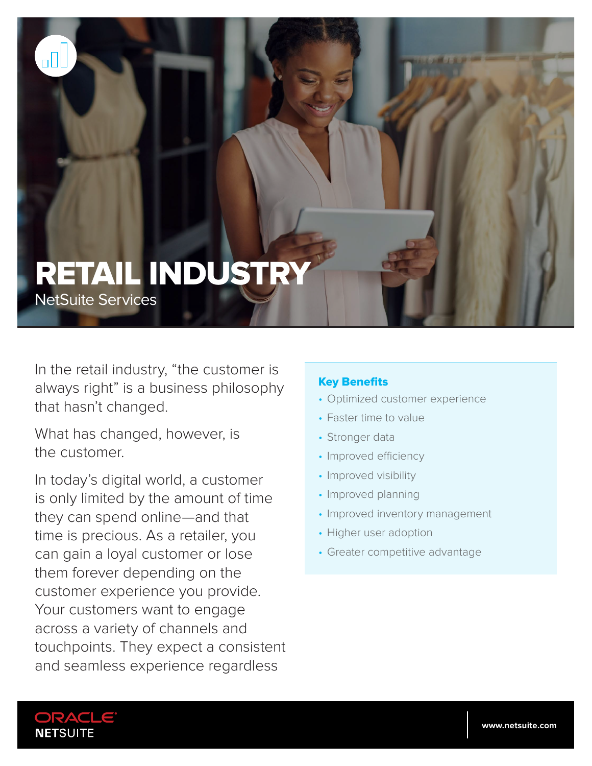# RETAIL INDUSTRY

NetSuite Services

In the retail industry, "the customer is always right" is a business philosophy that hasn't changed.

What has changed, however, is the customer.

In today's digital world, a customer is only limited by the amount of time they can spend online—and that time is precious. As a retailer, you can gain a loyal customer or lose them forever depending on the customer experience you provide. Your customers want to engage across a variety of channels and touchpoints. They expect a consistent and seamless experience regardless

#### Key Benefits

- Optimized customer experience
- Faster time to value
- Stronger data
- Improved efficiency
- Improved visibility
- Improved planning
- Improved inventory management
- Higher user adoption
- Greater competitive advantage

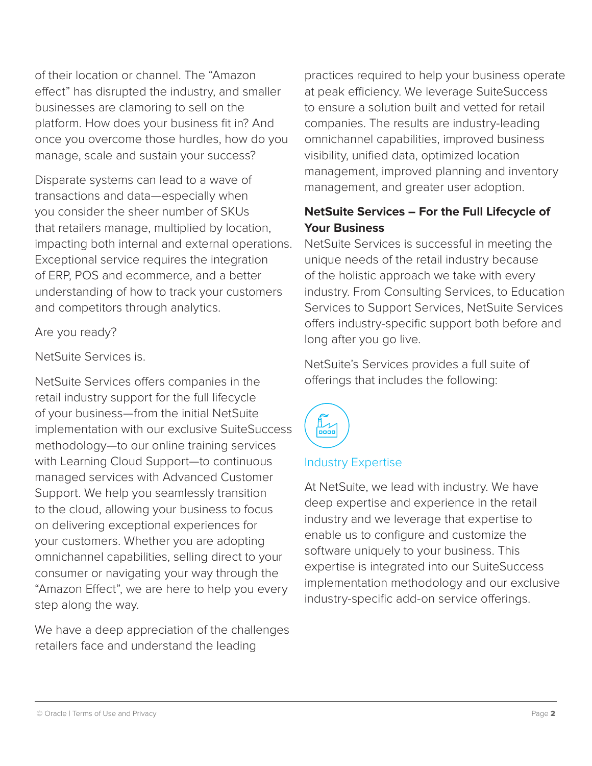of their location or channel. The "Amazon effect" has disrupted the industry, and smaller businesses are clamoring to sell on the platform. How does your business fit in? And once you overcome those hurdles, how do you manage, scale and sustain your success?

Disparate systems can lead to a wave of transactions and data—especially when you consider the sheer number of SKUs that retailers manage, multiplied by location, impacting both internal and external operations. Exceptional service requires the integration of ERP, POS and ecommerce, and a better understanding of how to track your customers and competitors through analytics.

#### Are you ready?

#### NetSuite Services is.

NetSuite Services offers companies in the retail industry support for the full lifecycle of your business—from the initial NetSuite implementation with our exclusive SuiteSuccess methodology—to our online training services with Learning Cloud Support—to continuous managed services with Advanced Customer Support. We help you seamlessly transition to the cloud, allowing your business to focus on delivering exceptional experiences for your customers. Whether you are adopting omnichannel capabilities, selling direct to your consumer or navigating your way through the "Amazon Effect", we are here to help you every step along the way.

We have a deep appreciation of the challenges retailers face and understand the leading

practices required to help your business operate at peak efficiency. We leverage SuiteSuccess to ensure a solution built and vetted for retail companies. The results are industry-leading omnichannel capabilities, improved business visibility, unified data, optimized location management, improved planning and inventory management, and greater user adoption.

### **NetSuite Services – For the Full Lifecycle of Your Business**

NetSuite Services is successful in meeting the unique needs of the retail industry because of the holistic approach we take with every industry. From Consulting Services, to Education Services to Support Services, NetSuite Services offers industry-specific support both before and long after you go live.

NetSuite's Services provides a full suite of offerings that includes the following:



#### Industry Expertise

At NetSuite, we lead with industry. We have deep expertise and experience in the retail industry and we leverage that expertise to enable us to configure and customize the software uniquely to your business. This expertise is integrated into our SuiteSuccess implementation methodology and our exclusive industry-specific add-on service offerings.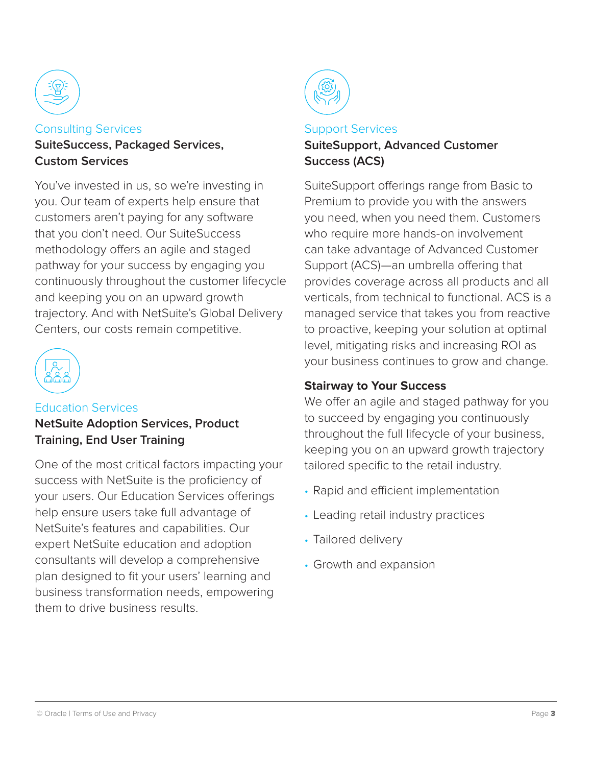

Consulting Services **SuiteSuccess, Packaged Services, Custom Services**

You've invested in us, so we're investing in you. Our team of experts help ensure that customers aren't paying for any software that you don't need. Our SuiteSuccess methodology offers an agile and staged pathway for your success by engaging you continuously throughout the customer lifecycle and keeping you on an upward growth trajectory. And with NetSuite's Global Delivery Centers, our costs remain competitive.



## Education Services

**NetSuite Adoption Services, Product Training, End User Training**

One of the most critical factors impacting your success with NetSuite is the proficiency of your users. Our Education Services offerings help ensure users take full advantage of NetSuite's features and capabilities. Our expert NetSuite education and adoption consultants will develop a comprehensive plan designed to fit your users' learning and business transformation needs, empowering them to drive business results.



# Support Services

#### **SuiteSupport, Advanced Customer Success (ACS)**

SuiteSupport offerings range from Basic to Premium to provide you with the answers you need, when you need them. Customers who require more hands-on involvement can take advantage of Advanced Customer Support (ACS)—an umbrella offering that provides coverage across all products and all verticals, from technical to functional. ACS is a managed service that takes you from reactive to proactive, keeping your solution at optimal level, mitigating risks and increasing ROI as your business continues to grow and change.

#### **Stairway to Your Success**

We offer an agile and staged pathway for you to succeed by engaging you continuously throughout the full lifecycle of your business, keeping you on an upward growth trajectory tailored specific to the retail industry.

- Rapid and efficient implementation
- Leading retail industry practices
- Tailored delivery
- Growth and expansion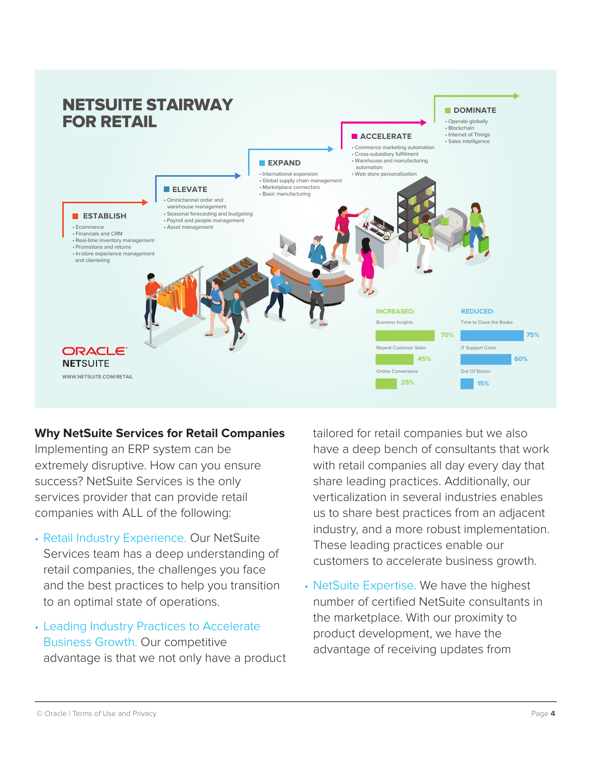

#### **Why NetSuite Services for Retail Companies**

Implementing an ERP system can be extremely disruptive. How can you ensure success? NetSuite Services is the only services provider that can provide retail companies with ALL of the following:

- Retail Industry Experience. Our NetSuite Services team has a deep understanding of retail companies, the challenges you face and the best practices to help you transition to an optimal state of operations.
- Leading Industry Practices to Accelerate Business Growth. Our competitive advantage is that we not only have a product

tailored for retail companies but we also have a deep bench of consultants that work with retail companies all day every day that share leading practices. Additionally, our verticalization in several industries enables us to share best practices from an adjacent industry, and a more robust implementation. These leading practices enable our customers to accelerate business growth.

• NetSuite Expertise. We have the highest number of certified NetSuite consultants in the marketplace. With our proximity to product development, we have the advantage of receiving updates from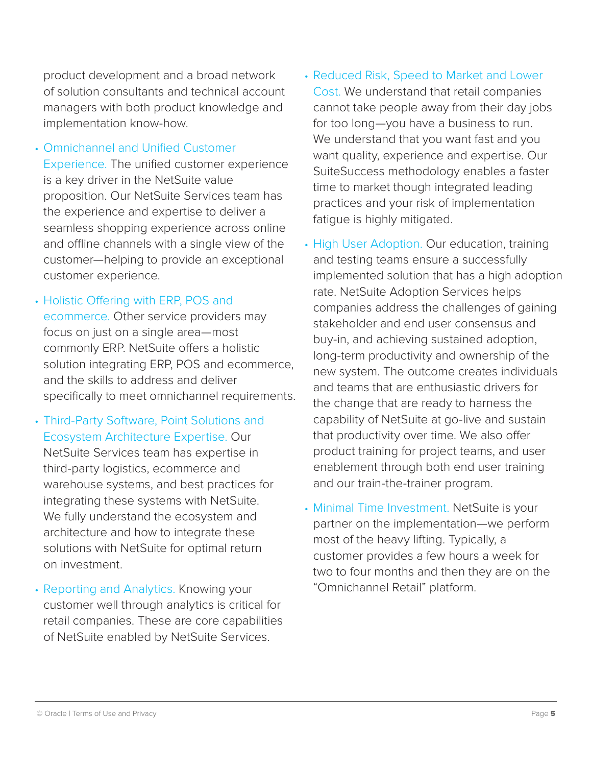product development and a broad network of solution consultants and technical account managers with both product knowledge and implementation know-how.

- Omnichannel and Unified Customer Experience. The unified customer experience is a key driver in the NetSuite value proposition. Our NetSuite Services team has the experience and expertise to deliver a seamless shopping experience across online and offline channels with a single view of the customer—helping to provide an exceptional customer experience.
- Holistic Offering with ERP, POS and ecommerce. Other service providers may focus on just on a single area—most commonly ERP. NetSuite offers a holistic solution integrating ERP, POS and ecommerce, and the skills to address and deliver specifically to meet omnichannel requirements.
- Third-Party Software, Point Solutions and Ecosystem Architecture Expertise. Our NetSuite Services team has expertise in third-party logistics, ecommerce and warehouse systems, and best practices for integrating these systems with NetSuite. We fully understand the ecosystem and architecture and how to integrate these solutions with NetSuite for optimal return on investment.
- Reporting and Analytics. Knowing your customer well through analytics is critical for retail companies. These are core capabilities of NetSuite enabled by NetSuite Services.
- Reduced Risk, Speed to Market and Lower Cost. We understand that retail companies cannot take people away from their day jobs for too long—you have a business to run. We understand that you want fast and you want quality, experience and expertise. Our SuiteSuccess methodology enables a faster time to market though integrated leading practices and your risk of implementation fatigue is highly mitigated.
- High User Adoption. Our education, training and testing teams ensure a successfully implemented solution that has a high adoption rate. NetSuite Adoption Services helps companies address the challenges of gaining stakeholder and end user consensus and buy-in, and achieving sustained adoption, long-term productivity and ownership of the new system. The outcome creates individuals and teams that are enthusiastic drivers for the change that are ready to harness the capability of NetSuite at go-live and sustain that productivity over time. We also offer product training for project teams, and user enablement through both end user training and our train-the-trainer program.
- Minimal Time Investment. NetSuite is your partner on the implementation—we perform most of the heavy lifting. Typically, a customer provides a few hours a week for two to four months and then they are on the "Omnichannel Retail" platform.